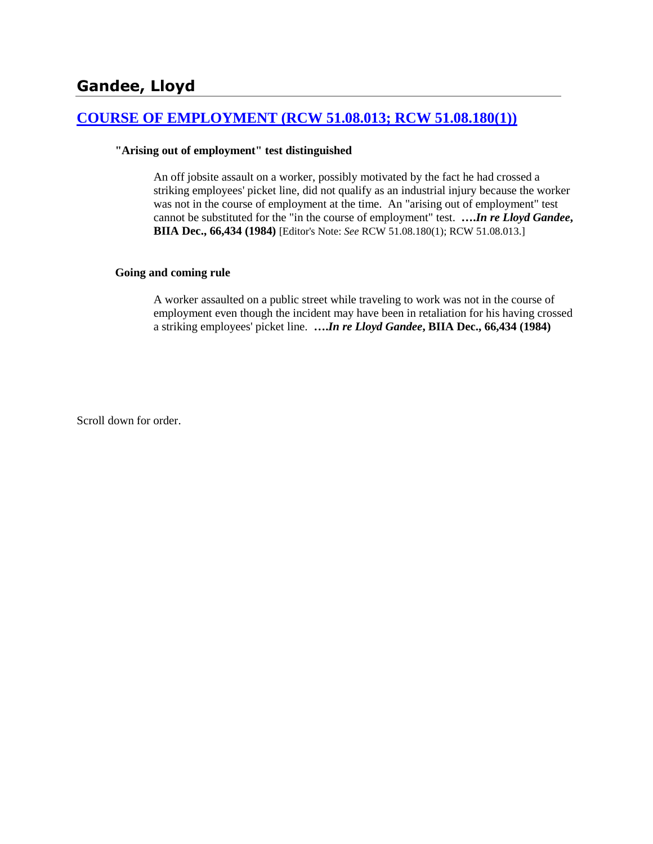### **[COURSE OF EMPLOYMENT \(RCW 51.08.013; RCW 51.08.180\(1\)\)](http://www.biia.wa.gov/SDSubjectIndex.html#COURSE_OF_EMPLOYMENT)**

#### **"Arising out of employment" test distinguished**

An off jobsite assault on a worker, possibly motivated by the fact he had crossed a striking employees' picket line, did not qualify as an industrial injury because the worker was not in the course of employment at the time. An "arising out of employment" test cannot be substituted for the "in the course of employment" test. **….***In re Lloyd Gandee***, BIIA Dec., 66,434 (1984)** [Editor's Note: *See* RCW 51.08.180(1); RCW 51.08.013.]

#### **Going and coming rule**

A worker assaulted on a public street while traveling to work was not in the course of employment even though the incident may have been in retaliation for his having crossed a striking employees' picket line. **….***In re Lloyd Gandee***, BIIA Dec., 66,434 (1984)** 

Scroll down for order.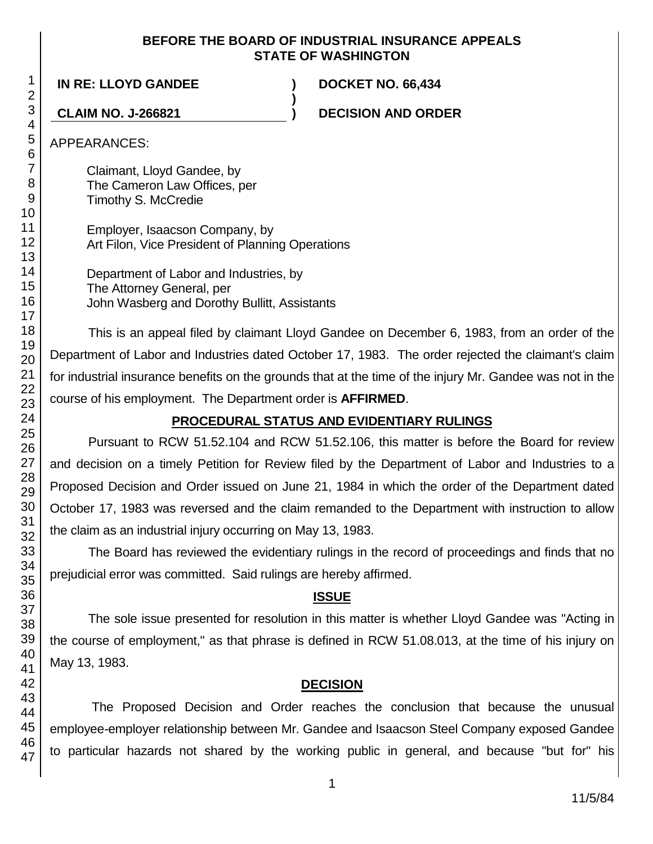#### **BEFORE THE BOARD OF INDUSTRIAL INSURANCE APPEALS STATE OF WASHINGTON**

**)**

**IN RE: LLOYD GANDEE ) DOCKET NO. 66,434**

**CLAIM NO. J-266821 ) DECISION AND ORDER**

APPEARANCES:

Claimant, Lloyd Gandee, by The Cameron Law Offices, per Timothy S. McCredie

Employer, Isaacson Company, by Art Filon, Vice President of Planning Operations

Department of Labor and Industries, by The Attorney General, per John Wasberg and Dorothy Bullitt, Assistants

This is an appeal filed by claimant Lloyd Gandee on December 6, 1983, from an order of the Department of Labor and Industries dated October 17, 1983. The order rejected the claimant's claim for industrial insurance benefits on the grounds that at the time of the injury Mr. Gandee was not in the course of his employment. The Department order is **AFFIRMED**.

# **PROCEDURAL STATUS AND EVIDENTIARY RULINGS**

Pursuant to RCW 51.52.104 and RCW 51.52.106, this matter is before the Board for review and decision on a timely Petition for Review filed by the Department of Labor and Industries to a Proposed Decision and Order issued on June 21, 1984 in which the order of the Department dated October 17, 1983 was reversed and the claim remanded to the Department with instruction to allow the claim as an industrial injury occurring on May 13, 1983.

The Board has reviewed the evidentiary rulings in the record of proceedings and finds that no prejudicial error was committed. Said rulings are hereby affirmed.

# **ISSUE**

The sole issue presented for resolution in this matter is whether Lloyd Gandee was "Acting in the course of employment," as that phrase is defined in RCW 51.08.013, at the time of his injury on May 13, 1983.

# **DECISION**

The Proposed Decision and Order reaches the conclusion that because the unusual employee-employer relationship between Mr. Gandee and Isaacson Steel Company exposed Gandee to particular hazards not shared by the working public in general, and because "but for" his

1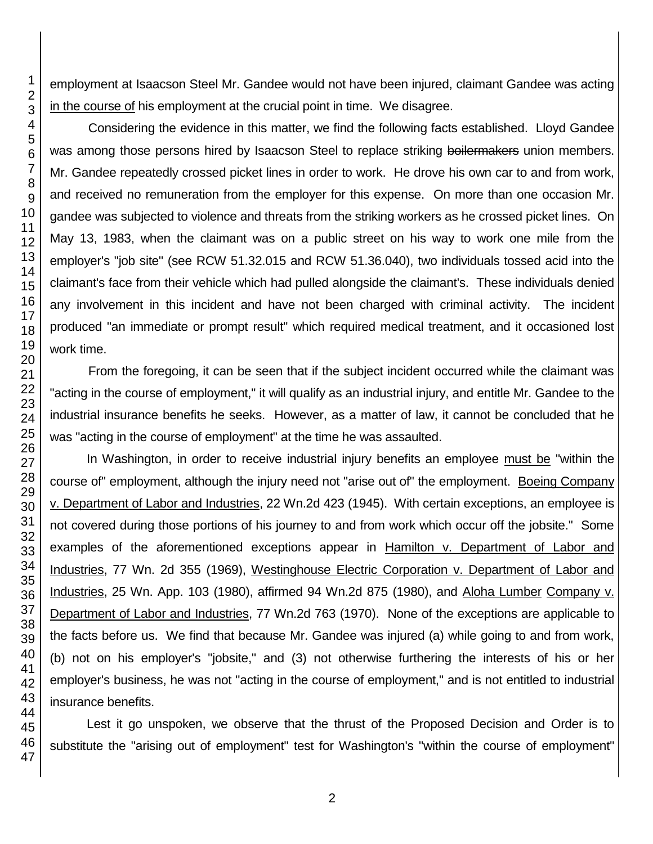employment at Isaacson Steel Mr. Gandee would not have been injured, claimant Gandee was acting in the course of his employment at the crucial point in time. We disagree.

Considering the evidence in this matter, we find the following facts established. Lloyd Gandee was among those persons hired by Isaacson Steel to replace striking boilermakers union members. Mr. Gandee repeatedly crossed picket lines in order to work. He drove his own car to and from work, and received no remuneration from the employer for this expense. On more than one occasion Mr. gandee was subjected to violence and threats from the striking workers as he crossed picket lines. On May 13, 1983, when the claimant was on a public street on his way to work one mile from the employer's "job site" (see RCW 51.32.015 and RCW 51.36.040), two individuals tossed acid into the claimant's face from their vehicle which had pulled alongside the claimant's. These individuals denied any involvement in this incident and have not been charged with criminal activity. The incident produced "an immediate or prompt result" which required medical treatment, and it occasioned lost work time.

From the foregoing, it can be seen that if the subject incident occurred while the claimant was "acting in the course of employment," it will qualify as an industrial injury, and entitle Mr. Gandee to the industrial insurance benefits he seeks. However, as a matter of law, it cannot be concluded that he was "acting in the course of employment" at the time he was assaulted.

In Washington, in order to receive industrial injury benefits an employee must be "within the course of" employment, although the injury need not "arise out of" the employment. Boeing Company v. Department of Labor and Industries, 22 Wn.2d 423 (1945). With certain exceptions, an employee is not covered during those portions of his journey to and from work which occur off the jobsite." Some examples of the aforementioned exceptions appear in Hamilton v. Department of Labor and Industries, 77 Wn. 2d 355 (1969), Westinghouse Electric Corporation v. Department of Labor and Industries, 25 Wn. App. 103 (1980), affirmed 94 Wn.2d 875 (1980), and Aloha Lumber Company v. Department of Labor and Industries, 77 Wn.2d 763 (1970). None of the exceptions are applicable to the facts before us. We find that because Mr. Gandee was injured (a) while going to and from work, (b) not on his employer's "jobsite," and (3) not otherwise furthering the interests of his or her employer's business, he was not "acting in the course of employment," and is not entitled to industrial insurance benefits.

Lest it go unspoken, we observe that the thrust of the Proposed Decision and Order is to substitute the "arising out of employment" test for Washington's "within the course of employment"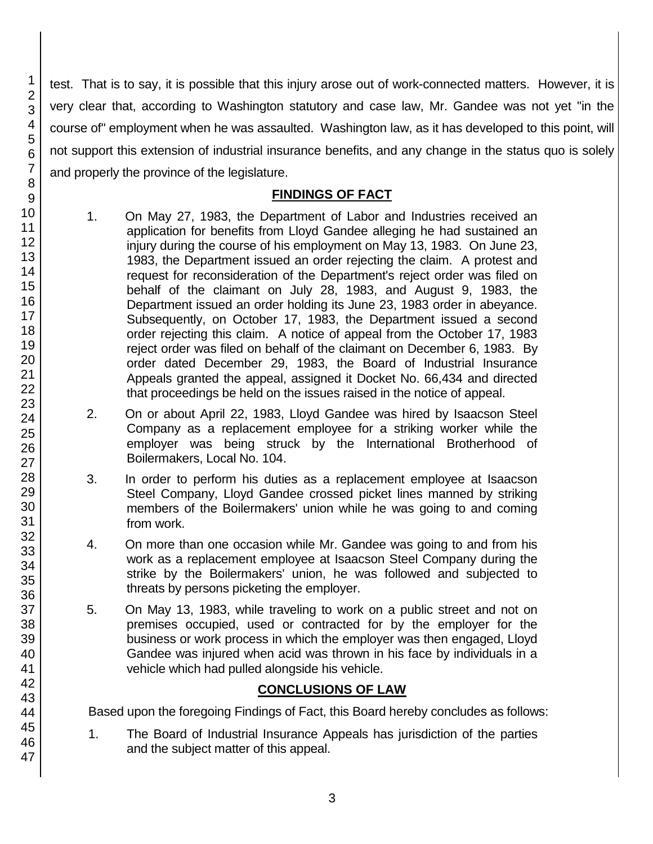test. That is to say, it is possible that this injury arose out of work-connected matters. However, it is very clear that, according to Washington statutory and case law, Mr. Gandee was not yet "in the course of" employment when he was assaulted. Washington law, as it has developed to this point, will not support this extension of industrial insurance benefits, and any change in the status quo is solely and properly the province of the legislature.

## **FINDINGS OF FACT**

- 1. On May 27, 1983, the Department of Labor and Industries received an application for benefits from Lloyd Gandee alleging he had sustained an injury during the course of his employment on May 13, 1983. On June 23, 1983, the Department issued an order rejecting the claim. A protest and request for reconsideration of the Department's reject order was filed on behalf of the claimant on July 28, 1983, and August 9, 1983, the Department issued an order holding its June 23, 1983 order in abeyance. Subsequently, on October 17, 1983, the Department issued a second order rejecting this claim. A notice of appeal from the October 17, 1983 reject order was filed on behalf of the claimant on December 6, 1983. By order dated December 29, 1983, the Board of Industrial Insurance Appeals granted the appeal, assigned it Docket No. 66,434 and directed that proceedings be held on the issues raised in the notice of appeal.
- 2. On or about April 22, 1983, Lloyd Gandee was hired by Isaacson Steel Company as a replacement employee for a striking worker while the employer was being struck by the International Brotherhood of Boilermakers, Local No. 104.
- 3. In order to perform his duties as a replacement employee at Isaacson Steel Company, Lloyd Gandee crossed picket lines manned by striking members of the Boilermakers' union while he was going to and coming from work.
- 4. On more than one occasion while Mr. Gandee was going to and from his work as a replacement employee at Isaacson Steel Company during the strike by the Boilermakers' union, he was followed and subjected to threats by persons picketing the employer.
- 5. On May 13, 1983, while traveling to work on a public street and not on premises occupied, used or contracted for by the employer for the business or work process in which the employer was then engaged, Lloyd Gandee was injured when acid was thrown in his face by individuals in a vehicle which had pulled alongside his vehicle.

# **CONCLUSIONS OF LAW**

Based upon the foregoing Findings of Fact, this Board hereby concludes as follows:

1. The Board of Industrial Insurance Appeals has jurisdiction of the parties and the subject matter of this appeal.